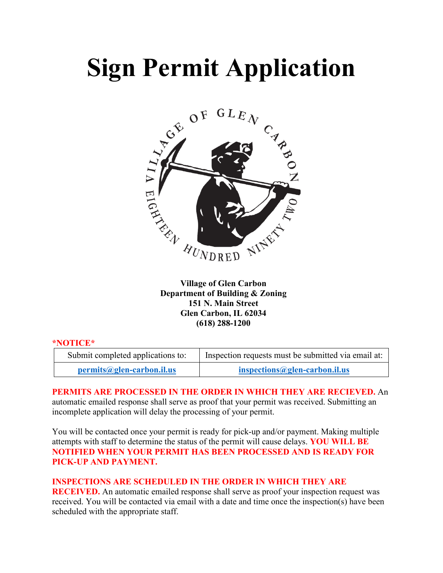# **Sign Permit Application**



**Village of Glen Carbon Department of Building & Zoning 151 N. Main Street Glen Carbon, IL 62034 (618) 288-1200**

#### **\*NOTICE\***

| Submit completed applications to: | Inspection requests must be submitted via email at: |
|-----------------------------------|-----------------------------------------------------|
| $permits@glen-carbon.$            | $inspections@glen-carbon.$                          |

### **PERMITS ARE PROCESSED IN THE ORDER IN WHICH THEY ARE RECIEVED.** An automatic emailed response shall serve as proof that your permit was received. Submitting an incomplete application will delay the processing of your permit.

You will be contacted once your permit is ready for pick-up and/or payment. Making multiple attempts with staff to determine the status of the permit will cause delays. **YOU WILL BE NOTIFIED WHEN YOUR PERMIT HAS BEEN PROCESSED AND IS READY FOR PICK-UP AND PAYMENT.**

#### **INSPECTIONS ARE SCHEDULED IN THE ORDER IN WHICH THEY ARE**

**RECEIVED.** An automatic emailed response shall serve as proof your inspection request was received. You will be contacted via email with a date and time once the inspection(s) have been scheduled with the appropriate staff.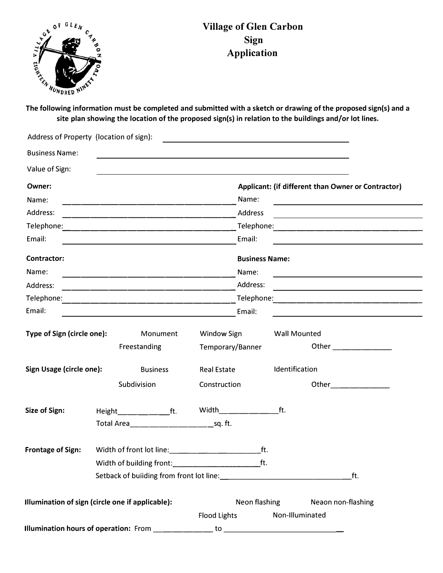

## **Village of Glen Carbon Sign Application**

**site plan showing the location of the proposed sign(s) in relation to the buildings and/or lot lines.** 

| Address of Property (location of sign):          |                                                      |                                                                                                                  |                  |                       |                                                                                                                                                                                                                                |     |  |
|--------------------------------------------------|------------------------------------------------------|------------------------------------------------------------------------------------------------------------------|------------------|-----------------------|--------------------------------------------------------------------------------------------------------------------------------------------------------------------------------------------------------------------------------|-----|--|
| <b>Business Name:</b>                            |                                                      | and the control of the control of the control of the control of the control of the control of the control of the |                  |                       |                                                                                                                                                                                                                                |     |  |
| Value of Sign:                                   |                                                      | and the control of the control of the control of the control of the control of the control of the control of the |                  |                       |                                                                                                                                                                                                                                |     |  |
| Owner:                                           |                                                      |                                                                                                                  |                  |                       | Applicant: (if different than Owner or Contractor)                                                                                                                                                                             |     |  |
| Name:                                            |                                                      |                                                                                                                  |                  | Name:                 |                                                                                                                                                                                                                                |     |  |
| Address:                                         |                                                      |                                                                                                                  |                  | Address               | <u> 1989 - Johann Barn, mars ann an t-Amhain Aonaich an t-Aonaich an t-Aonaich ann an t-Aonaich ann an t-Aonaich</u>                                                                                                           |     |  |
|                                                  |                                                      |                                                                                                                  |                  |                       |                                                                                                                                                                                                                                |     |  |
| Email:                                           | <u> 1989 - Johann Stoff, Amerikaansk politiker (</u> |                                                                                                                  |                  | Email:                |                                                                                                                                                                                                                                |     |  |
| <b>Contractor:</b>                               |                                                      |                                                                                                                  |                  | <b>Business Name:</b> |                                                                                                                                                                                                                                |     |  |
| Name:                                            |                                                      | <u> 1980 - Johann John Stone, mars eta biztanleria (h. 1980).</u>                                                |                  | Name:                 | the control of the control of the control of the control of the control of the control of                                                                                                                                      |     |  |
| Address:                                         |                                                      | <u> 1950 - Johann John Stone, mars eta biztanleria (</u>                                                         |                  | Address:              | <u> 1980 - John Stone, mars et al. (</u> † 1920)                                                                                                                                                                               |     |  |
|                                                  |                                                      |                                                                                                                  |                  |                       |                                                                                                                                                                                                                                |     |  |
| Email:                                           |                                                      | <u> 1980 - Andrea Stadt, amerikansk politiker (</u> † 1900)                                                      |                  | Email:                |                                                                                                                                                                                                                                |     |  |
| Type of Sign (circle one):                       |                                                      | Monument                                                                                                         | Window Sign      |                       | <b>Wall Mounted</b>                                                                                                                                                                                                            |     |  |
|                                                  |                                                      | Freestanding                                                                                                     | Temporary/Banner |                       | Other the contract of the contract of the contract of the contract of the contract of the contract of the contract of the contract of the contract of the contract of the contract of the contract of the contract of the cont |     |  |
| Sign Usage (circle one):<br><b>Business</b>      |                                                      | <b>Real Estate</b>                                                                                               |                  | Identification        |                                                                                                                                                                                                                                |     |  |
|                                                  |                                                      | Subdivision                                                                                                      | Construction     |                       | Other_______________                                                                                                                                                                                                           |     |  |
| Size of Sign:                                    |                                                      | $Height \_\_\_\_\_\_\_\_$ ft.                                                                                    | Width ft.        |                       |                                                                                                                                                                                                                                |     |  |
|                                                  |                                                      |                                                                                                                  |                  |                       |                                                                                                                                                                                                                                |     |  |
| <b>Frontage of Sign:</b>                         |                                                      | Width of front lot line: width and the state of the state of the state of the state of the state of the state o  |                  | ft.                   |                                                                                                                                                                                                                                |     |  |
|                                                  |                                                      |                                                                                                                  |                  |                       |                                                                                                                                                                                                                                |     |  |
|                                                  | Setback of building from front lot line:<br><u> </u> |                                                                                                                  |                  |                       |                                                                                                                                                                                                                                | ft. |  |
| Illumination of sign (circle one if applicable): |                                                      |                                                                                                                  |                  | Neon flashing         | Neaon non-flashing                                                                                                                                                                                                             |     |  |
|                                                  |                                                      |                                                                                                                  | Flood Lights     |                       | Non-Illuminated                                                                                                                                                                                                                |     |  |
|                                                  |                                                      |                                                                                                                  |                  |                       |                                                                                                                                                                                                                                |     |  |
|                                                  |                                                      |                                                                                                                  |                  |                       |                                                                                                                                                                                                                                |     |  |